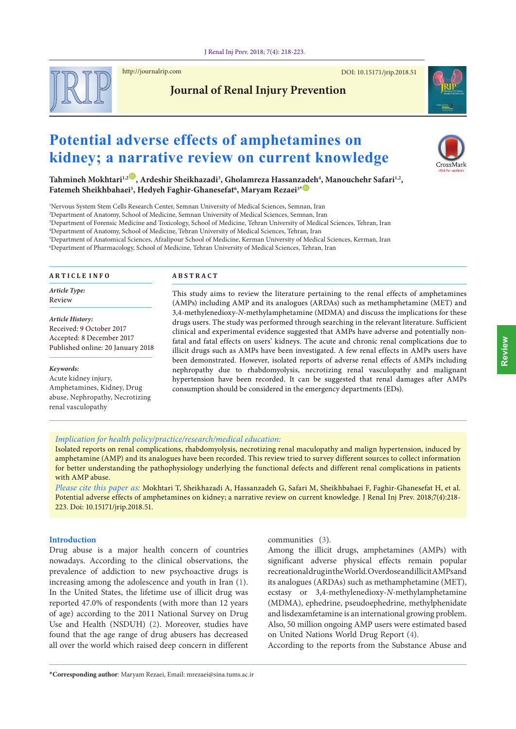

http://journalrip.com

DOI: [10.15171/jrip.2018.](http://dx.doi.org/10.15171/jrip.2018.51)51

**Journal of Renal Injury Prevention**



# **Potential adverse effects of amphetamines on kidney; a narrative review on current knowledge**



 $\text{Tahnineh Mokhtari}^{1,2}$ , Ardeshir Sheikhazadi<sup>3</sup>, Gholamreza Hassan[zade](https://orcid.org/0000-0002-4126-7102)h<sup>4</sup>, Manouchehr Safari<sup>1,2</sup>,  $\mathbf{F}$ atemeh Sheikhbahaei $^5$ , Hedyeh Faghir-Ghanesefat $^6$ , Maryam Rezaei $^{3*}$   $\mathbf{D}$ 

1 Nervous System Stem Cells Research Center, Semnan University of Medical Sciences, Semnan, Iran

2 Department of Anatomy, School of Medicine, Semnan University of Medical Sciences, Semnan, Iran

3 Department of Forensic Medicine and Toxicology, School of Medicine, Tehran University of Medical Sciences, Tehran, Iran

4 Department of Anatomy, School of Medicine, Tehran University of Medical Sciences, Tehran, Iran

5 Department of Anatomical Sciences, Afzalipour School of Medicine, Kerman University of Medical Sciences, Kerman, Iran

6 Department of Pharmacology, School of Medicine, Tehran University of Medical Sciences, Tehran, Iran

#### **A R T I C L E I N F O**

*Article Type:* Review

*Article History:* Received: 9 October 2017 Accepted: 8 December 2017 Published online: 20 January 2018

*Keywords:* Acute kidney injury,

Amphetamines, Kidney, Drug abuse, Nephropathy, Necrotizing renal vasculopathy

#### **A B S T R A C T**

This study aims to review the literature pertaining to the renal effects of amphetamines (AMPs) including AMP and its analogues (ARDAs) such as methamphetamine (MET) and 3,4-methylenedioxy-*N-*methylamphetamine (MDMA) and discuss the implications for these drugs users. The study was performed through searching in the relevant literature. Sufficient clinical and experimental evidence suggested that AMPs have adverse and potentially nonfatal and fatal effects on users' kidneys. The acute and chronic renal complications due to illicit drugs such as AMPs have been investigated. A few renal effects in AMPs users have been demonstrated. However, isolated reports of adverse renal effects of AMPs including nephropathy due to rhabdomyolysis, necrotizing renal vasculopathy and malignant hypertension have been recorded. It can be suggested that renal damages after AMPs consumption should be considered in the emergency departments (EDs).

#### *Implication for health policy/practice/research/medical education:*

Isolated reports on renal complications, rhabdomyolysis, necrotizing renal maculopathy and malign hypertension, induced by amphetamine (AMP) and its analogues have been recorded. This review tried to survey different sources to collect information for better understanding the pathophysiology underlying the functional defects and different renal complications in patients with AMP abuse.

*Please cite this paper as:* Mokhtari T, Sheikhazadi A, Hassanzadeh G, Safari M, Sheikhbahaei F, Faghir-Ghanesefat H, et al. Potential adverse effects of amphetamines on kidney; a narrative review on current knowledge. J Renal Inj Prev. 2018;7(4):218- 223. Doi: 10.15171/jrip.2018.51.

### **Introduction**

Drug abuse is a major health concern of countries nowadays. According to the clinical observations, the prevalence of addiction to new psychoactive drugs is increasing among the adolescence and youth in Iran ([1\)](#page-3-0). In the United States, the lifetime use of illicit drug was reported 47.0% of respondents (with more than 12 years of age) according to the 2011 National Survey on Drug Use and Health (NSDUH) ([2\)](#page-3-1). Moreover, studies have found that the age range of drug abusers has decreased all over the world which raised deep concern in different communities ([3](#page-3-2)).

Among the illicit drugs, amphetamines (AMPs) with significant adverse physical effects remain popular recreational drug in the World. Overdose and illicit AMPs and its analogues (ARDAs) such as methamphetamine (MET), ecstasy or 3,4-methylenedioxy-*N-*methylamphetamine (MDMA), ephedrine, pseudoephedrine, methylphenidate and lisdexamfetamine is an international growing problem. Also, 50 million ongoing AMP users were estimated based on United Nations World Drug Report ([4\)](#page-3-3).

According to the reports from the Substance Abuse and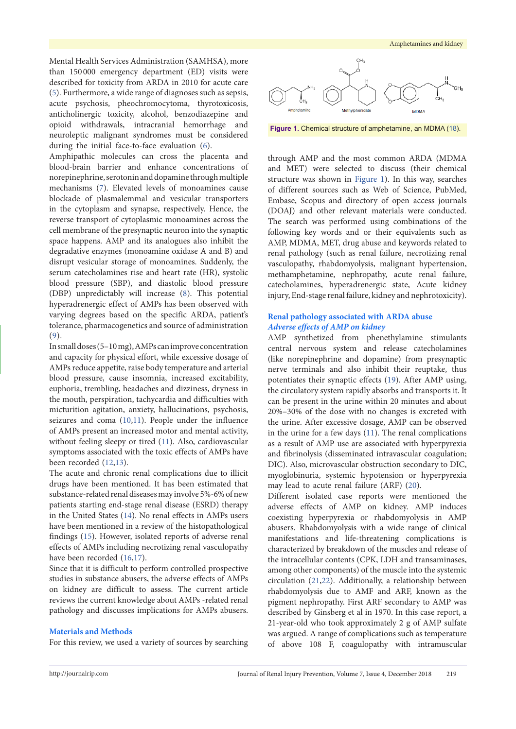Mental Health Services Administration (SAMHSA), more than 150 000 emergency department (ED) visits were described for toxicity from ARDA in 2010 for acute care [\(5\)](#page-4-0). Furthermore, a wide range of diagnoses such as sepsis, acute psychosis, pheochromocytoma, thyrotoxicosis, anticholinergic toxicity, alcohol, benzodiazepine and opioid withdrawals, intracranial hemorrhage and neuroleptic malignant syndromes must be considered during the initial face-to-face evaluation [\(6](#page-4-1)).

Amphipathic molecules can cross the placenta and blood-brain barrier and enhance concentrations of norepinephrine, serotonin and dopamine through multiple mechanisms ([7](#page-4-2)). Elevated levels of monoamines cause blockade of plasmalemmal and vesicular transporters in the cytoplasm and synapse, respectively. Hence, the reverse transport of cytoplasmic monoamines across the cell membrane of the presynaptic neuron into the synaptic space happens. AMP and its analogues also inhibit the degradative enzymes (monoamine oxidase A and B) and disrupt vesicular storage of monoamines. Suddenly, the serum catecholamines rise and heart rate (HR), systolic blood pressure (SBP), and diastolic blood pressure (DBP) unpredictably will increase [\(8\)](#page-4-3). This potential hyperadrenergic effect of AMPs has been observed with varying degrees based on the specific ARDA, patient's tolerance, pharmacogenetics and source of administration [\(9](#page-4-4)).

In small doses (5–10 mg), AMPs can improve concentration and capacity for physical effort, while excessive dosage of AMPs reduce appetite, raise body temperature and arterial blood pressure, cause insomnia, increased excitability, euphoria, trembling, headaches and dizziness, dryness in the mouth, perspiration, tachycardia and difficulties with micturition agitation, anxiety, hallucinations, psychosis, seizures and coma ([10](#page-4-5)[,11](#page-4-6)). People under the influence of AMPs present an increased motor and mental activity, without feeling sleepy or tired [\(11\)](#page-4-6). Also, cardiovascular symptoms associated with the toxic effects of AMPs have been recorded [\(12,](#page-4-7)[13\)](#page-4-8).

The acute and chronic renal complications due to illicit drugs have been mentioned. It has been estimated that substance-related renal diseases may involve 5%-6% of new patients starting end-stage renal disease (ESRD) therapy in the United States ([14](#page-4-9)). No renal effects in AMPs users have been mentioned in a review of the histopathological findings [\(15\)](#page-4-10). However, isolated reports of adverse renal effects of AMPs including necrotizing renal vasculopathy have been recorded [\(16](#page-4-11)[,17\)](#page-4-12).

Since that it is difficult to perform controlled prospective studies in substance abusers, the adverse effects of AMPs on kidney are difficult to assess. The current article reviews the current knowledge about AMPs -related renal pathology and discusses implications for AMPs abusers.

### **Materials and Methods**

For this review, we used a variety of sources by searching

<span id="page-1-0"></span>

**Figure 1.** Chemical structure of amphetamine, an MDMA [\(18](#page-4-13)).

through AMP and the most common ARDA (MDMA and MET) were selected to discuss (their chemical structure was shown in [Figure](#page-1-0) 1). In this way, searches of different sources such as Web of Science, PubMed, Embase, Scopus and directory of open access journals (DOAJ) and other relevant materials were conducted. The search was performed using combinations of the following key words and or their equivalents such as AMP, MDMA, MET, drug abuse and keywords related to renal pathology (such as renal failure, necrotizing renal vasculopathy, rhabdomyolysis, malignant hypertension, methamphetamine, nephropathy, acute renal failure, catecholamines, hyperadrenergic state, Acute kidney injury, End-stage renal failure, kidney and nephrotoxicity).

# **Renal pathology associated with ARDA abuse** *Adverse effects of AMP on kidney*

AMP synthetized from phenethylamine stimulants central nervous system and release catecholamines (like norepinephrine and dopamine) from presynaptic nerve terminals and also inhibit their reuptake, thus potentiates their synaptic effects [\(19\)](#page-4-14). After AMP using, the circulatory system rapidly absorbs and transports it. It can be present in the urine within 20 minutes and about 20%–30% of the dose with no changes is excreted with the urine. After excessive dosage, AMP can be observed in the urine for a few days ([11](#page-4-6)). The renal complications as a result of AMP use are associated with hyperpyrexia and fibrinolysis (disseminated intravascular coagulation; DIC). Also, microvascular obstruction secondary to DIC, myoglobinuria, systemic hypotension or hyperpyrexia may lead to acute renal failure (ARF) [\(20\)](#page-4-15).

Different isolated case reports were mentioned the adverse effects of AMP on kidney. AMP induces coexisting hyperpyrexia or rhabdomyolysis in AMP abusers. Rhabdomyolysis with a wide range of clinical manifestations and life-threatening complications is characterized by breakdown of the muscles and release of the intracellular contents (CPK, LDH and transaminases, among other components) of the muscle into the systemic circulation [\(21](#page-4-16)[,22\)](#page-4-17). Additionally, a relationship between rhabdomyolysis due to AMF and ARF, known as the pigment nephropathy. First ARF secondary to AMP was described by Ginsberg et al in 1970. In this case report, a 21-year-old who took approximately 2 g of AMP sulfate was argued. A range of complications such as temperature of above 108 F, coagulopathy with intramuscular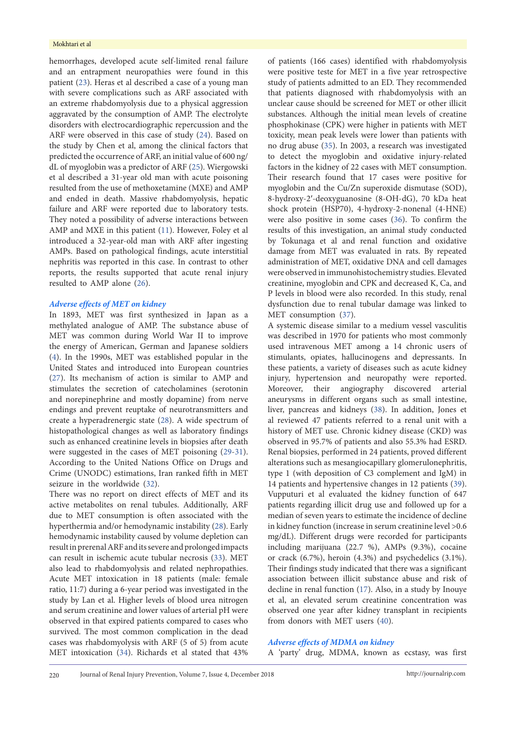hemorrhages, developed acute self-limited renal failure and an entrapment neuropathies were found in this patient ([23](#page-4-18)). Heras et al described a case of a young man with severe complications such as ARF associated with an extreme rhabdomyolysis due to a physical aggression aggravated by the consumption of AMP. The electrolyte disorders with electrocardiographic repercussion and the ARF were observed in this case of study [\(24\)](#page-4-19). Based on the study by Chen et al, among the clinical factors that predicted the occurrence of ARF, an initial value of 600 ng/ dL of myoglobin was a predictor of ARF [\(25\)](#page-4-20). Wiergowski et al described a 31-year old man with acute poisoning resulted from the use of methoxetamine (MXE) and AMP and ended in death. Massive rhabdomyolysis, hepatic failure and ARF were reported due to laboratory tests. They noted a possibility of adverse interactions between AMP and MXE in this patient ([11\)](#page-4-6). However, Foley et al introduced a 32-year-old man with ARF after ingesting AMPs. Based on pathological findings, acute interstitial nephritis was reported in this case. In contrast to other reports, the results supported that acute renal injury resulted to AMP alone [\(26\)](#page-4-21).

# *Adverse effects of MET on kidney*

In 1893, MET was first synthesized in Japan as a methylated analogue of AMP. The substance abuse of MET was common during World War II to improve the energy of American, German and Japanese soldiers [\(4\)](#page-3-3). In the 1990s, MET was established popular in the United States and introduced into European countries [\(27\)](#page-4-22). Its mechanism of action is similar to AMP and stimulates the secretion of catecholamines (serotonin and norepinephrine and mostly dopamine) from nerve endings and prevent reuptake of neurotransmitters and create a hyperadrenergic state [\(28\)](#page-4-23). A wide spectrum of histopathological changes as well as laboratory findings such as enhanced creatinine levels in biopsies after death were suggested in the cases of MET poisoning ([29](#page-4-24)-[31\)](#page-4-25). According to the United Nations Office on Drugs and Crime (UNODC) estimations, Iran ranked fifth in MET seizure in the worldwide ([32](#page-4-26)).

There was no report on direct effects of MET and its active metabolites on renal tubules. Additionally, ARF due to MET consumption is often associated with the hyperthermia and/or hemodynamic instability ([28\)](#page-4-23). Early hemodynamic instability caused by volume depletion can result in prerenal ARF and its severe and prolonged impacts can result in ischemic acute tubular necrosis ([33](#page-4-27)). MET also lead to rhabdomyolysis and related nephropathies. Acute MET intoxication in 18 patients (male: female ratio, 11:7) during a 6-year period was investigated in the study by Lan et al. Higher levels of blood urea nitrogen and serum creatinine and lower values of arterial pH were observed in that expired patients compared to cases who survived. The most common complication in the dead cases was rhabdomyolysis with ARF (5 of 5) from acute MET intoxication ([34\)](#page-4-28). Richards et al stated that 43%

of patients (166 cases) identified with rhabdomyolysis were positive teste for MET in a five year retrospective study of patients admitted to an ED. They recommended that patients diagnosed with rhabdomyolysis with an unclear cause should be screened for MET or other illicit substances. Although the initial mean levels of creatine phosphokinase (CPK) were higher in patients with MET toxicity, mean peak levels were lower than patients with no drug abuse [\(35\)](#page-4-29). In 2003, a research was investigated to detect the myoglobin and oxidative injury-related factors in the kidney of 22 cases with MET consumption. Their research found that 17 cases were positive for myoglobin and the Cu/Zn superoxide dismutase (SOD), 8-hydroxy-2′-deoxyguanosine (8-OH-dG), 70 kDa heat shock protein (HSP70), 4-hydroxy-2-nonenal (4-HNE) were also positive in some cases ([36](#page-4-30)). To confirm the results of this investigation, an animal study conducted by Tokunaga et al and renal function and oxidative damage from MET was evaluated in rats. By repeated administration of MET, oxidative DNA and cell damages were observed in immunohistochemistry studies. Elevated creatinine, myoglobin and CPK and decreased K, Ca, and P levels in blood were also recorded. In this study, renal dysfunction due to renal tubular damage was linked to MET consumption [\(37\)](#page-5-0).

A systemic disease similar to a medium vessel vasculitis was described in 1970 for patients who most commonly used intravenous MET among a 14 chronic users of stimulants, opiates, hallucinogens and depressants. In these patients, a variety of diseases such as acute kidney injury, hypertension and neuropathy were reported. Moreover, their angiography discovered arterial aneurysms in different organs such as small intestine, liver, pancreas and kidneys [\(38\)](#page-5-1). In addition, Jones et al reviewed 47 patients referred to a renal unit with a history of MET use. Chronic kidney disease (CKD) was observed in 95.7% of patients and also 55.3% had ESRD. Renal biopsies, performed in 24 patients, proved different alterations such as mesangiocapillary glomerulonephritis, type 1 (with deposition of C3 complement and IgM) in 14 patients and hypertensive changes in 12 patients [\(39\)](#page-5-2). Vupputuri et al evaluated the kidney function of 647 patients regarding illicit drug use and followed up for a median of seven years to estimate the incidence of decline in kidney function (increase in serum creatinine level >0.6 mg/dL). Different drugs were recorded for participants including marijuana (22.7 %), AMPs (9.3%), cocaine or crack (6.7%), heroin (4.3%) and psychedelics (3.1%). Their findings study indicated that there was a significant association between illicit substance abuse and risk of decline in renal function ([17](#page-4-12)). Also, in a study by Inouye et al, an elevated serum creatinine concentration was observed one year after kidney transplant in recipients from donors with MET users ([40](#page-5-3)).

### *Adverse effects of MDMA on kidney*

A 'party' drug, MDMA, known as ecstasy, was first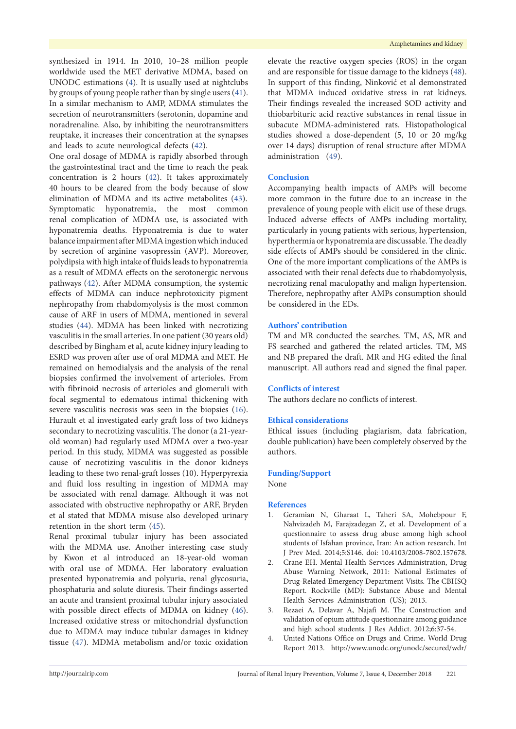synthesized in 1914. In 2010, 10–28 million people worldwide used the MET derivative MDMA, based on UNODC estimations ([4](#page-3-3)). It is usually used at nightclubs by groups of young people rather than by single users ([41\)](#page-5-4). In a similar mechanism to AMP, MDMA stimulates the secretion of neurotransmitters (serotonin, dopamine and noradrenaline. Also, by inhibiting the neurotransmitters reuptake, it increases their concentration at the synapses and leads to acute neurological defects [\(42\)](#page-5-5).

One oral dosage of MDMA is rapidly absorbed through the gastrointestinal tract and the time to reach the peak concentration is 2 hours [\(42\)](#page-5-5). It takes approximately 40 hours to be cleared from the body because of slow elimination of MDMA and its active metabolites [\(43\)](#page-5-6). Symptomatic hyponatremia, the most common renal complication of MDMA use, is associated with hyponatremia deaths. Hyponatremia is due to water balance impairment after MDMA ingestion which induced by secretion of arginine vasopressin (AVP). Moreover, polydipsia with high intake of fluids leads to hyponatremia as a result of MDMA effects on the serotonergic nervous pathways [\(42\)](#page-5-5). After MDMA consumption, the systemic effects of MDMA can induce nephrotoxicity pigment nephropathy from rhabdomyolysis is the most common cause of ARF in users of MDMA, mentioned in several studies [\(44\)](#page-5-7). MDMA has been linked with necrotizing vasculitis in the small arteries. In one patient (30 years old) described by Bingham et al, acute kidney injury leading to ESRD was proven after use of oral MDMA and MET. He remained on hemodialysis and the analysis of the renal biopsies confirmed the involvement of arterioles. From with fibrinoid necrosis of arterioles and glomeruli with focal segmental to edematous intimal thickening with severe vasculitis necrosis was seen in the biopsies ([16\)](#page-4-11). Hurault et al investigated early graft loss of two kidneys secondary to necrotizing vasculitis. The donor (a 21-yearold woman) had regularly used MDMA over a two-year period. In this study, MDMA was suggested as possible cause of necrotizing vasculitis in the donor kidneys leading to these two renal-graft losses (10). Hyperpyrexia and fluid loss resulting in ingestion of MDMA may be associated with renal damage. Although it was not associated with obstructive nephropathy or ARF, Bryden et al stated that MDMA misuse also developed urinary retention in the short term [\(45\)](#page-5-8).

Renal proximal tubular injury has been associated with the MDMA use. Another interesting case study by Kwon et al introduced an 18-year-old woman with oral use of MDMA. Her laboratory evaluation presented hyponatremia and polyuria, renal glycosuria, phosphaturia and solute diuresis. Their findings asserted an acute and transient proximal tubular injury associated with possible direct effects of MDMA on kidney ([46\)](#page-5-9). Increased oxidative stress or mitochondrial dysfunction due to MDMA may induce tubular damages in kidney tissue ([47](#page-5-10)). MDMA metabolism and/or toxic oxidation

elevate the reactive oxygen species (ROS) in the organ and are responsible for tissue damage to the kidneys [\(48\)](#page-5-11). In support of this finding, Ninković et al demonstrated that MDMA induced oxidative stress in rat kidneys. Their findings revealed the increased SOD activity and thiobarbituric acid reactive substances in renal tissue in subacute MDMA-administered rats. Histopathological studies showed a dose-dependent (5, 10 or 20 mg/kg over 14 days) disruption of renal structure after MDMA administration ([49](#page-5-12)).

#### **Conclusion**

Accompanying health impacts of AMPs will become more common in the future due to an increase in the prevalence of young people with elicit use of these drugs. Induced adverse effects of AMPs including mortality, particularly in young patients with serious, hypertension, hyperthermia or hyponatremia are discussable. The deadly side effects of AMPs should be considered in the clinic. One of the more important complications of the AMPs is associated with their renal defects due to rhabdomyolysis, necrotizing renal maculopathy and malign hypertension. Therefore, nephropathy after AMPs consumption should be considered in the EDs.

# **Authors' contribution**

TM and MR conducted the searches. TM, AS, MR and FS searched and gathered the related articles. TM, MS and NB prepared the draft. MR and HG edited the final manuscript. All authors read and signed the final paper.

### **Conflicts of interest**

The authors declare no conflicts of interest.

## **Ethical considerations**

Ethical issues (including plagiarism, data fabrication, double publication) have been completely observed by the authors.

### **Funding/Support**

None

#### **References**

- <span id="page-3-0"></span>1. Geramian N, Gharaat L, Taheri SA, Mohebpour F, Nahvizadeh M, Farajzadegan Z, et al. Development of a questionnaire to assess drug abuse among high school students of Isfahan province, Iran: An action research. Int J Prev Med. 2014;5:S146. doi: 10.4103/2008-7802.157678.
- <span id="page-3-1"></span>2. Crane EH. Mental Health Services Administration, Drug Abuse Warning Network, 2011: National Estimates of Drug-Related Emergency Department Visits. The CBHSQ Report. Rockville (MD): Substance Abuse and Mental Health Services Administration (US); 2013.
- <span id="page-3-2"></span>3. Rezaei A, Delavar A, Najafi M. The Construction and validation of opium attitude questionnaire among guidance and high school students. J Res Addict. 2012;6:37-54.
- <span id="page-3-3"></span>4. United Nations Office on Drugs and Crime. World Drug Report 2013. [http://www.unodc.org/unodc/secured/wdr/](http://www.unodc.org/unodc/secured/wdr/wdr2013/World_Drug_Report_2013.pdf)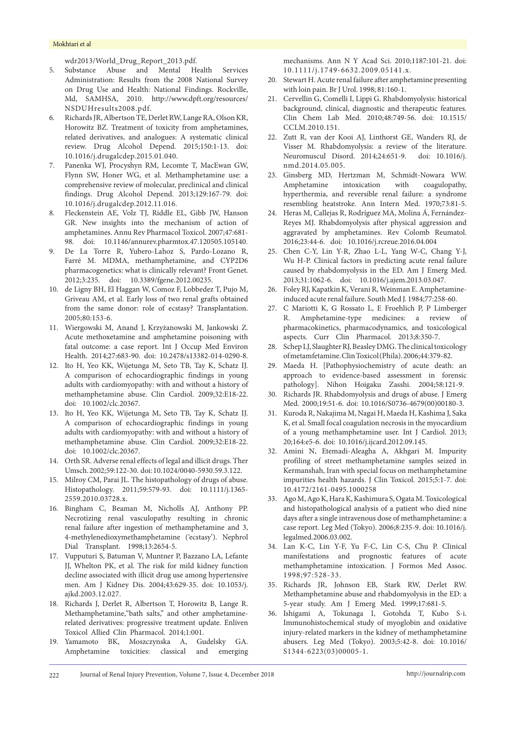<span id="page-4-0"></span>[wdr2013/World\\_Drug\\_Report\\_2013.pdf](http://www.unodc.org/unodc/secured/wdr/wdr2013/World_Drug_Report_2013.pdf).

- 5. Substance Abuse and Mental Health Services Administration: Results from the 2008 National Survey on Drug Use and Health: National Findings. Rockville, Md, SAMHSA, 2010. [http://www.dpft.org/resources/](http://www.dpft.org/resources/NSDUHresults2008.pdf) [NSDUHresults2008.pdf.](http://www.dpft.org/resources/NSDUHresults2008.pdf)
- <span id="page-4-1"></span>6. Richards JR, Albertson TE, Derlet RW, Lange RA, Olson KR, Horowitz BZ. Treatment of toxicity from amphetamines, related derivatives, and analogues: A systematic clinical review. Drug Alcohol Depend. 2015;150:1-13. doi: 10.1016/j.drugalcdep.2015.01.040.
- <span id="page-4-2"></span>7. Panenka WJ, Procyshyn RM, Lecomte T, MacEwan GW, Flynn SW, Honer WG, et al. Methamphetamine use: a comprehensive review of molecular, preclinical and clinical findings. Drug Alcohol Depend. 2013;129:167-79. doi: 10.1016/j.drugalcdep.2012.11.016.
- <span id="page-4-3"></span>8. Fleckenstein AE, Volz TJ, Riddle EL, Gibb JW, Hanson GR. New insights into the mechanism of action of amphetamines. Annu Rev Pharmacol Toxicol. 2007;47:681- 98. doi: 10.1146/annurev.pharmtox.47.120505.105140.
- <span id="page-4-4"></span>9. De La Torre R, Yubero-Lahoz S, Pardo-Lozano R, Farré M. MDMA, methamphetamine, and CYP2D6 pharmacogenetics: what is clinically relevant? Front Genet. 2012;3:235. doi: 10.3389/fgene.2012.00235.
- <span id="page-4-5"></span>10. de Ligny BH, El Haggan W, Comoz F, Lobbedez T, Pujo M, Griveau AM, et al. Early loss of two renal grafts obtained from the same donor: role of ecstasy? Transplantation. 2005;80:153-6.
- <span id="page-4-6"></span>11. Wiergowski M, Anand J, Krzyżanowski M, Jankowski Z. Acute methoxetamine and amphetamine poisoning with fatal outcome: a case report. Int J Occup Med Environ Health. 2014;27:683-90. doi: 10.2478/s13382-014-0290-8.
- <span id="page-4-7"></span>12. Ito H, Yeo KK, Wijetunga M, Seto TB, Tay K, Schatz IJ. A comparison of echocardiographic findings in young adults with cardiomyopathy: with and without a history of methamphetamine abuse. Clin Cardiol. 2009;32:E18-22. doi: 10.1002/clc.20367.
- <span id="page-4-8"></span>13. Ito H, Yeo KK, Wijetunga M, Seto TB, Tay K, Schatz IJ. A comparison of echocardiographic findings in young adults with cardiomyopathy: with and without a history of methamphetamine abuse. Clin Cardiol. 2009;32:E18-22. doi: 10.1002/clc.20367.
- <span id="page-4-9"></span>14. Orth SR. Adverse renal effects of legal and illicit drugs. Ther Umsch. 2002;59:122-30. doi: 10.1024/0040-5930.59.3.122.
- <span id="page-4-10"></span>15. Milroy CM, Parai JL. The histopathology of drugs of abuse. Histopathology. 2011;59:579-93. doi: 10.1111/j.1365- 2559.2010.03728.x.
- <span id="page-4-11"></span>16. Bingham C, Beaman M, Nicholls AJ, Anthony PP. Necrotizing renal vasculopathy resulting in chronic renal failure after ingestion of methamphetamine and 3, 4-methylenedioxymethamphetamine ('ecstasy'). Nephrol Dial Transplant. 1998;13:2654-5.
- <span id="page-4-12"></span>17. Vupputuri S, Batuman V, Muntner P, Bazzano LA, Lefante JJ, Whelton PK, et al. The risk for mild kidney function decline associated with illicit drug use among hypertensive men. Am J Kidney Dis. 2004;43:629-35. doi: 10.1053/j. ajkd.2003.12.027.
- <span id="page-4-13"></span>18. Richards J, Derlet R, Albertson T, Horowitz B, Lange R. Methamphetamine,"bath salts," and other amphetaminerelated derivatives: progressive treatment update. Enliven Toxicol Allied Clin Pharmacol. 2014;1:001.
- <span id="page-4-14"></span>19. Yamamoto BK, Moszczynska A, Gudelsky GA. Amphetamine toxicities: classical and emerging

<span id="page-4-15"></span>mechanisms. Ann N Y Acad Sci. 2010;1187:101-21. doi: 10.1111/j.1749-6632.2009.05141.x.

- 20. Stewart H. Acute renal failure after amphetamine presenting with loin pain. Br J Urol. 1998; 81:160-1.
- <span id="page-4-16"></span>21. Cervellin G, Comelli I, Lippi G. Rhabdomyolysis: historical background, clinical, diagnostic and therapeutic features. Clin Chem Lab Med. 2010;48:749-56. doi: 10.1515/ CCLM.2010.151.
- <span id="page-4-17"></span>22. Zutt R, van der Kooi AJ, Linthorst GE, Wanders RJ, de Visser M. Rhabdomyolysis: a review of the literature. Neuromuscul Disord. 2014;24:651-9. doi: 10.1016/j. nmd.2014.05.005.
- <span id="page-4-18"></span>23. Ginsberg MD, Hertzman M, Schmidt-Nowara WW. Amphetamine intoxication with coagulopathy, hyperthermia, and reversible renal failure: a syndrome resembling heatstroke. Ann Intern Med. 1970;73:81-5.
- <span id="page-4-19"></span>24. Heras M, Callejas R, Rodríguez MA, Molina Á, Fernández-Reyes MJ. Rhabdomyolysis after physical aggression and aggravated by amphetamines. Rev Colomb Reumatol. 2016;23:44-6. doi: 10.1016/j.rcreue.2016.04.004
- <span id="page-4-20"></span>25. Chen C-Y, Lin Y-R, Zhao L-L, Yang W-C, Chang Y-J, Wu H-P. Clinical factors in predicting acute renal failure caused by rhabdomyolysis in the ED. Am J Emerg Med. 2013;31:1062-6. doi: 10.1016/j.ajem.2013.03.047.
- <span id="page-4-21"></span>26. Foley RJ, Kapatkin K, Verani R, Weinman E. Amphetamineinduced acute renal failure. South Med J. 1984;77:258-60.
- <span id="page-4-22"></span>27. C Mariotti K, G Rossato L, E Froehlich P, P Limberger R. Amphetamine-type medicines: a review of pharmacokinetics, pharmacodynamics, and toxicological aspects. Curr Clin Pharmacol. 2013;8:350-7.
- <span id="page-4-23"></span>28. Schep LJ, Slaughter RJ, Beasley DMG. The clinical toxicology of metamfetamine. Clin Toxicol (Phila). 2006;44:379-82.
- <span id="page-4-24"></span>29. Maeda H. [Pathophysiochemistry of acute death: an approach to evidence-based assessment in forensic pathology]. Nihon Hoigaku Zasshi. 2004;58:121-9.
- 30. Richards JR. Rhabdomyolysis and drugs of abuse. J Emerg Med. 2000;19:51-6. doi: 10.1016/S0736-4679(00)00180-3.
- <span id="page-4-25"></span>31. Kuroda R, Nakajima M, Nagai H, Maeda H, Kashima J, Saka K, et al. Small focal coagulation necrosis in the myocardium of a young methamphetamine user. Int J Cardiol. 2013; 20;164:e5-6. doi: 10.1016/j.ijcard.2012.09.145.
- <span id="page-4-26"></span>32. Amini N, Etemadi-Aleagha A, Akhgari M. Impurity profiling of street methamphetamine samples seized in Kermanshah, Iran with special focus on methamphetamine impurities health hazards. J Clin Toxicol. 2015;5:1-7. doi: 10.4172/2161-0495.1000258
- <span id="page-4-27"></span>33. Ago M, Ago K, Hara K, Kashimura S, Ogata M. Toxicological and histopathological analysis of a patient who died nine days after a single intravenous dose of methamphetamine: a case report. Leg Med (Tokyo). 2006;8:235-9. doi: 10.1016/j. legalmed.2006.03.002.
- <span id="page-4-28"></span>34. Lan K-C, Lin Y-F, Yu F-C, Lin C-S, Chu P. Clinical manifestations and prognostic features of acute methamphetamine intoxication. J Formos Med Assoc. 1998;97:528-33.
- <span id="page-4-29"></span>35. Richards JR, Johnson EB, Stark RW, Derlet RW. Methamphetamine abuse and rhabdomyolysis in the ED: a 5-year study. Am J Emerg Med. 1999;17:681-5.
- <span id="page-4-30"></span>36. Ishigami A, Tokunaga I, Gotohda T, Kubo S-i. Immunohistochemical study of myoglobin and oxidative injury-related markers in the kidney of methamphetamine abusers. Leg Med (Tokyo). 2003;5:42-8. doi: 10.1016/ S1344-6223(03)00005-1.